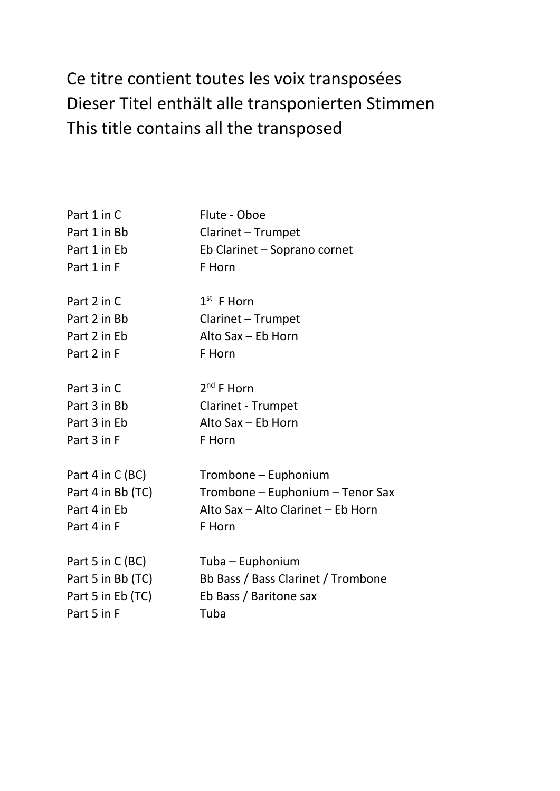## Ce titre contient toutes les voix transposées Dieser Titel enthält alle transponierten Stimmen This title contains all the transposed

| Part 1 in C       | Flute - Oboe                       |
|-------------------|------------------------------------|
| Part 1 in Bb      | Clarinet - Trumpet                 |
| Part 1 in Eb      | Eb Clarinet - Soprano cornet       |
| Part 1 in F       | F Horn                             |
| Part 2 in C       | $1st$ F Horn                       |
| Part 2 in Bb      | Clarinet - Trumpet                 |
| Part 2 in Eb      | Alto Sax - Eb Horn                 |
| Part 2 in F       | F Horn                             |
| Part 3 in C       | $2^{nd}$ F Horn                    |
| Part 3 in Bb      | <b>Clarinet - Trumpet</b>          |
| Part 3 in Eb      | Alto Sax - Eb Horn                 |
| Part 3 in F       | F Horn                             |
| Part 4 in C (BC)  | Trombone – Euphonium               |
| Part 4 in Bb (TC) | Trombone - Euphonium - Tenor Sax   |
| Part 4 in Eb      | Alto Sax - Alto Clarinet - Eb Horn |
| Part 4 in F       | F Horn                             |
| Part 5 in C (BC)  | Tuba – Euphonium                   |
| Part 5 in Bb (TC) | Bb Bass / Bass Clarinet / Trombone |
| Part 5 in Eb (TC) | Eb Bass / Baritone sax             |
| Part 5 in F       | Tuba                               |
|                   |                                    |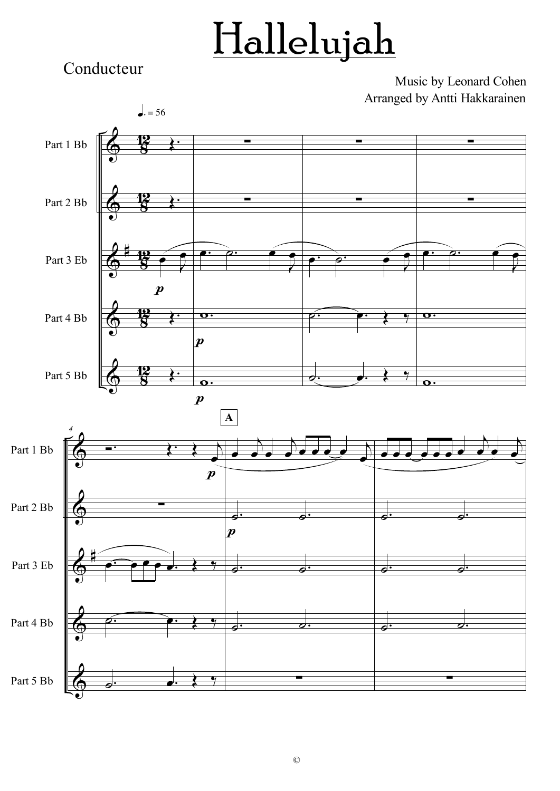## Hallelujah

Conducteur

Music by Leonard Cohen Arranged by Antti Hakkarainen

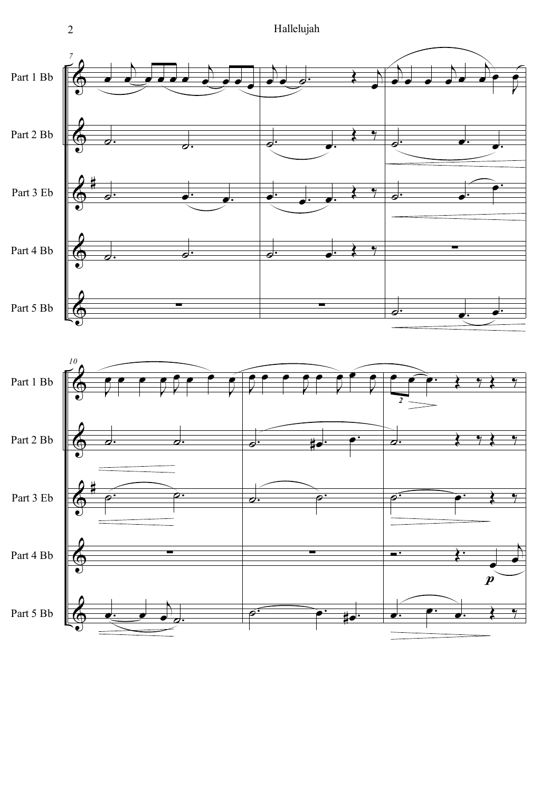